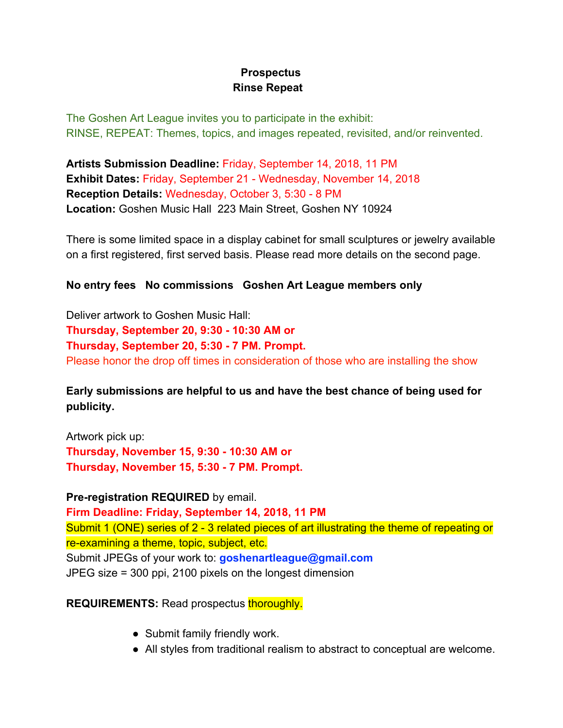## **Prospectus Rinse Repeat**

The Goshen Art League invites you to participate in the exhibit: RINSE, REPEAT: Themes, topics, and images repeated, revisited, and/or reinvented.

**Artists Submission Deadline:** Friday, September 14, 2018, 11 PM **Exhibit Dates:** Friday, September 21 - Wednesday, November 14, 2018 **Reception Details:** Wednesday, October 3, 5:30 - 8 PM **Location:** Goshen Music Hall 223 Main Street, Goshen NY 10924

There is some limited space in a display cabinet for small sculptures or jewelry available on a first registered, first served basis. Please read more details on the second page.

## **No entry fees No commissions Goshen Art League members only**

Deliver artwork to Goshen Music Hall: **Thursday, September 20, 9:30 - 10:30 AM or Thursday, September 20, 5:30 - 7 PM. Prompt.** Please honor the drop off times in consideration of those who are installing the show

**Early submissions are helpful to us and have the best chance of being used for publicity.**

Artwork pick up: **Thursday, November 15, 9:30 - 10:30 AM or Thursday, November 15, 5:30 - 7 PM. Prompt.**

**Pre-registration REQUIRED** by email. **Firm Deadline: Friday, September 14, 2018, 11 PM** Submit 1 (ONE) series of 2 - 3 related pieces of art illustrating the theme of repeating or re-examining a theme, topic, subject, etc. Submit JPEGs of your work to: **goshenartleague@gmail.com** JPEG size = 300 ppi, 2100 pixels on the longest dimension

## **REQUIREMENTS:** Read prospectus **thoroughly.**

- Submit family friendly work.
- All styles from traditional realism to abstract to conceptual are welcome.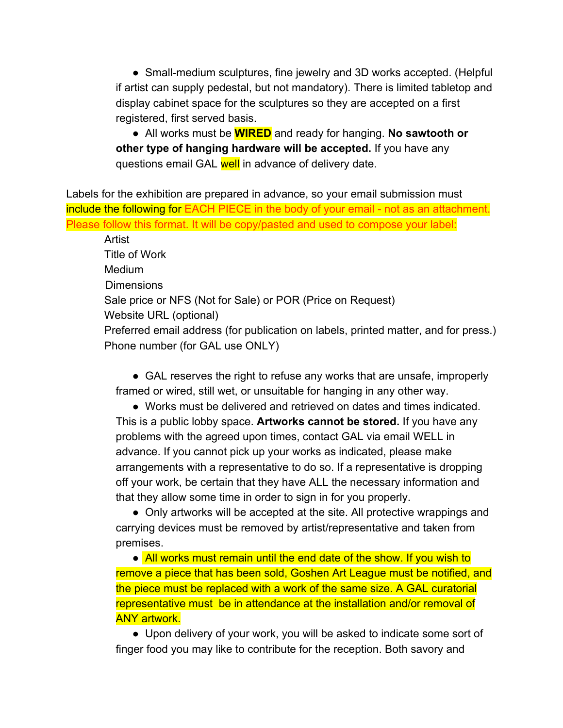● Small-medium sculptures, fine jewelry and 3D works accepted. (Helpful if artist can supply pedestal, but not mandatory). There is limited tabletop and display cabinet space for the sculptures so they are accepted on a first registered, first served basis.

● All works must be **WIRED** and ready for hanging. **No sawtooth or other type of hanging hardware will be accepted.** If you have any questions email GAL well in advance of delivery date.

Labels for the exhibition are prepared in advance, so your email submission must include the following for EACH PIECE in the body of your email - not as an attachment. Please follow this format. It will be copy/pasted and used to compose your label:

 Artist Title of Work Medium **Dimensions**  Sale price or NFS (Not for Sale) or POR (Price on Request) Website URL (optional) Preferred email address (for publication on labels, printed matter, and for press.) Phone number (for GAL use ONLY)

● GAL reserves the right to refuse any works that are unsafe, improperly framed or wired, still wet, or unsuitable for hanging in any other way.

● Works must be delivered and retrieved on dates and times indicated. This is a public lobby space. **Artworks cannot be stored.** If you have any problems with the agreed upon times, contact GAL via email WELL in advance. If you cannot pick up your works as indicated, please make arrangements with a representative to do so. If a representative is dropping off your work, be certain that they have ALL the necessary information and that they allow some time in order to sign in for you properly.

● Only artworks will be accepted at the site. All protective wrappings and carrying devices must be removed by artist/representative and taken from premises.

● All works must remain until the end date of the show. If you wish to remove a piece that has been sold, Goshen Art League must be notified, and the piece must be replaced with a work of the same size. A GAL curatorial representative must be in attendance at the installation and/or removal of ANY artwork.

• Upon delivery of your work, you will be asked to indicate some sort of finger food you may like to contribute for the reception. Both savory and